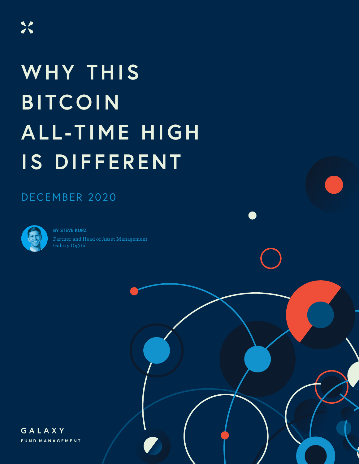# **WHY THIS BITCOIN ALL-TIME HIGH IS DIFFERENT**

## DECEMBER 2020



**BY STEVE KURZ** Partner and Head of Asset Management Galaxy Digital

GALAXY FUND MANAGEMENT IN STRUCTURE IN THE STRUCTURE OF THE STRUCTURE OF THE STRUCTURE OF THE STRUCTURE OF THE

GALAXY FUND MANAGEMENT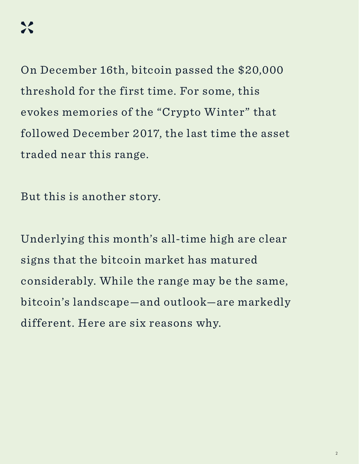On December 16th, bitcoin passed the \$20,000 threshold for the first time. For some, this evokes memories of the "Crypto Winter" that followed December 2017, the last time the asset traded near this range.

But this is another story.

Underlying this month's all-time high are clear signs that the bitcoin market has matured considerably. While the range may be the same, bitcoin's landscape—and outlook—are markedly different. Here are six reasons why.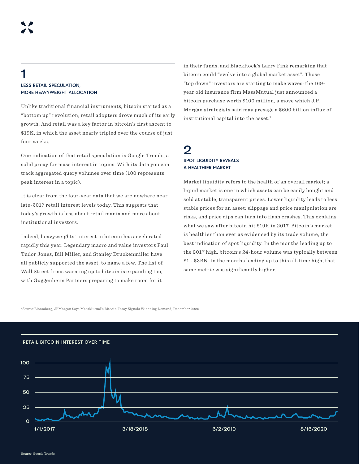#### 1 **LESS RETAIL SPECULATION, MORE HEAVYWEIGHT ALLOCATION**

Unlike traditional financial instruments, bitcoin started as a "bottom up" revolution; retail adopters drove much of its early growth. And retail was a key factor in bitcoin's first ascent to \$19K, in which the asset nearly tripled over the course of just four weeks.

One indication of that retail speculation is Google Trends, a solid proxy for mass interest in topics. With its data you can track aggregated query volumes over time (100 represents peak interest in a topic).

It is clear from the four-year data that we are nowhere near late-2017 retail interest levels today. This suggests that today's growth is less about retail mania and more about institutional investors.

Indeed, heavyweights' interest in bitcoin has accelerated rapidly this year. Legendary macro and value investors Paul Tudor Jones, Bill Miller, and Stanley Druckenmiller have all publicly supported the asset, to name a few. The list of Wall Street firms warming up to bitcoin is expanding too, with Guggenheim Partners preparing to make room for it

in their funds, and BlackRock's Larry Fink remarking that bitcoin could "evolve into a global market asset". Those "top down" investors are starting to make waves: the 169 year old insurance firm MassMutual just announced a bitcoin purchase worth \$100 million, a move which J.P. Morgan strategists said may presage a \$600 billion influx of institutional capital into the asset.<sup>1</sup>

#### 2 **SPOT LIQUIDITY REVEALS A HEALTHIER MARKET**

Market liquidity refers to the health of an overall market; a liquid market is one in which assets can be easily bought and sold at stable, transparent prices. Lower liquidity leads to less stable prices for an asset: slippage and price manipulation are risks, and price dips can turn into flash crashes. This explains what we saw after bitcoin hit \$19K in 2017. Bitcoin's market is healthier than ever as evidenced by its trade volume, the best indication of spot liquidity. In the months leading up to the 2017 high, bitcoin's 24-hour volume was typically between \$1 - \$3BN. In the months leading up to this all-time high, that same metric was significantly higher.

#### 1 Source: Bloomberg, JPMorgan Says MassMutual's Bitcoin Foray Signals Widening Demand, December 2020

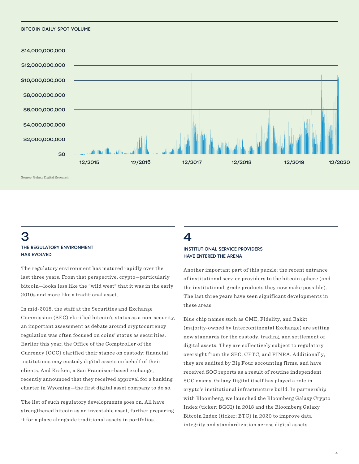#### **BITCOIN DAILY SPOT VOLUME**



Source: Galaxy Digital Research

#### 3 **THE REGULATORY ENVIRONMENT HAS EVOLVED**

The regulatory environment has matured rapidly over the last three years. From that perspective, crypto—particularly bitcoin—looks less like the "wild west" that it was in the early 2010s and more like a traditional asset.

In mid-2018, the staff at the Securities and Exchange Commission (SEC) clarified bitcoin's status as a non-security, an important assessment as debate around cryptocurrency regulation was often focused on coins' status as securities. Earlier this year, the Office of the Comptroller of the Currency (OCC) clarified their stance on custody: financial institutions may custody digital assets on behalf of their clients. And Kraken, a San Francisco-based exchange, recently announced that they received approval for a banking charter in Wyoming—the first digital asset company to do so.

The list of such regulatory developments goes on. All have strengthened bitcoin as an investable asset, further preparing it for a place alongside traditional assets in portfolios.

#### 4 **INSTITUTIONAL SERVICE PROVIDERS HAVE ENTERED THE ARENA**

Another important part of this puzzle: the recent entrance of institutional service providers to the bitcoin sphere (and the institutional-grade products they now make possible). The last three years have seen significant developments in these areas.

Blue chip names such as CME, Fidelity, and Bakkt (majority-owned by Intercontinental Exchange) are setting new standards for the custody, trading, and settlement of digital assets. They are collectively subject to regulatory oversight from the SEC, CFTC, and FINRA. Additionally, they are audited by Big Four accounting firms, and have received SOC reports as a result of routine independent SOC exams. Galaxy Digital itself has played a role in crypto's institutional infrastructure build. In partnership with Bloomberg, we launched the Bloomberg Galaxy Crypto Index (ticker: BGCI) in 2018 and the Bloomberg Galaxy Bitcoin Index (ticker: BTC) in 2020 to improve data integrity and standardization across digital assets.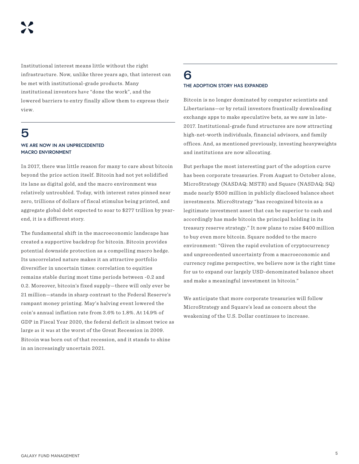Institutional interest means little without the right infrastructure. Now, unlike three years ago, that interest can be met with institutional-grade products. Many institutional investors have "done the work", and the lowered barriers to entry finally allow them to express their view.

## 5

#### **WE ARE NOW IN AN UNPRECEDENTED MACRO ENVIRONMENT**

In 2017, there was little reason for many to care about bitcoin beyond the price action itself. Bitcoin had not yet solidified its lane as digital gold, and the macro environment was relatively untroubled. Today, with interest rates pinned near zero, trillions of dollars of fiscal stimulus being printed, and aggregate global debt expected to soar to \$277 trillion by yearend, it is a different story.

The fundamental shift in the macroeconomic landscape has created a supportive backdrop for bitcoin. Bitcoin provides potential downside protection as a compelling macro hedge. Its uncorrelated nature makes it an attractive portfolio diversifier in uncertain times: correlation to equities remains stable during most time periods between -0.2 and 0.2. Moreover, bitcoin's fixed supply—there will only ever be 21 million—stands in sharp contrast to the Federal Reserve's rampant money printing. May's halving event lowered the coin's annual inflation rate from 3.6% to 1.8%. At 14.9% of GDP in Fiscal Year 2020, the federal deficit is almost twice as large as it was at the worst of the Great Recession in 2009. Bitcoin was born out of that recession, and it stands to shine in an increasingly uncertain 2021.

#### 6 **THE ADOPTION STORY HAS EXPANDED**

Bitcoin is no longer dominated by computer scientists and Libertarians—or by retail investors frantically downloading exchange apps to make speculative bets, as we saw in late-2017. Institutional-grade fund structures are now attracting high-net-worth individuals, financial advisors, and family offices. And, as mentioned previously, investing heavyweights and institutions are now allocating.

But perhaps the most interesting part of the adoption curve has been corporate treasuries. From August to October alone, MicroStrategy (NASDAQ: MSTR) and Square (NASDAQ: SQ) made nearly \$500 million in publicly disclosed balance sheet investments. MicroStrategy "has recognized bitcoin as a legitimate investment asset that can be superior to cash and accordingly has made bitcoin the principal holding in its treasury reserve strategy." It now plans to raise \$400 million to buy even more bitcoin. Square nodded to the macro environment: "Given the rapid evolution of cryptocurrency and unprecedented uncertainty from a macroeconomic and currency regime perspective, we believe now is the right time for us to expand our largely USD-denominated balance sheet and make a meaningful investment in bitcoin."

We anticipate that more corporate treasuries will follow MicroStrategy and Square's lead as concern about the weakening of the U.S. Dollar continues to increase.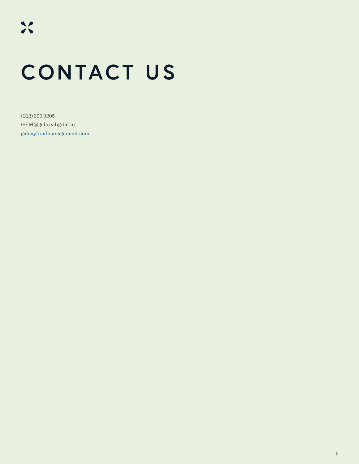## **CONTACT US**

(212) 390 9205 GFM@galaxydigital.io [galaxyfundmanagement.com](https://galaxyfundmanagement.com/)